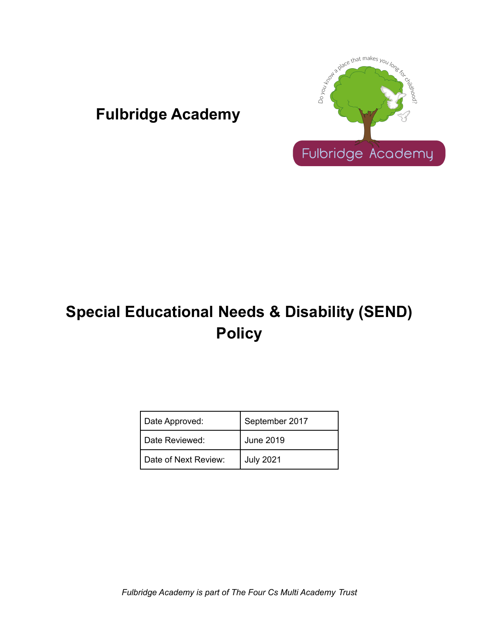

# **Fulbridge Academy**

# **Special Educational Needs & Disability (SEND) Policy**

| Date Approved:       | September 2017   |
|----------------------|------------------|
| Date Reviewed:       | June 2019        |
| Date of Next Review: | <b>July 2021</b> |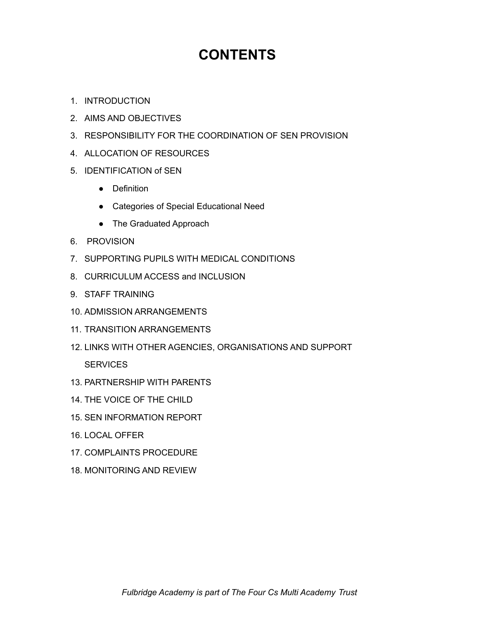# **CONTENTS**

- 1. INTRODUCTION
- 2. AIMS AND OBJECTIVES
- 3. RESPONSIBILITY FOR THE COORDINATION OF SEN PROVISION
- 4. ALLOCATION OF RESOURCES
- 5. IDENTIFICATION of SEN
	- Definition
	- Categories of Special Educational Need
	- The Graduated Approach
- 6. PROVISION
- 7. SUPPORTING PUPILS WITH MEDICAL CONDITIONS
- 8. CURRICULUM ACCESS and INCLUSION
- 9. STAFF TRAINING
- 10. ADMISSION ARRANGEMENTS
- 11. TRANSITION ARRANGEMENTS
- 12. LINKS WITH OTHER AGENCIES, ORGANISATIONS AND SUPPORT **SERVICES**
- 13. PARTNERSHIP WITH PARENTS
- 14. THE VOICE OF THE CHILD
- 15. SEN INFORMATION REPORT
- 16. LOCAL OFFER
- 17. COMPLAINTS PROCEDURE
- 18. MONITORING AND REVIEW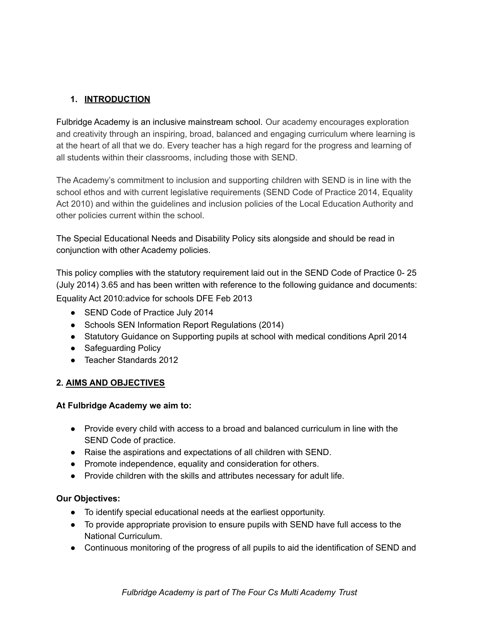# **1. INTRODUCTION**

Fulbridge Academy is an inclusive mainstream school. Our academy encourages exploration and creativity through an inspiring, broad, balanced and engaging curriculum where learning is at the heart of all that we do. Every teacher has a high regard for the progress and learning of all students within their classrooms, including those with SEND.

The Academy's commitment to inclusion and supporting children with SEND is in line with the school ethos and with current legislative requirements (SEND Code of Practice 2014, Equality Act 2010) and within the guidelines and inclusion policies of the Local Education Authority and other policies current within the school.

The Special Educational Needs and Disability Policy sits alongside and should be read in conjunction with other Academy policies.

This policy complies with the statutory requirement laid out in the SEND Code of Practice 0- 25 (July 2014) 3.65 and has been written with reference to the following guidance and documents: Equality Act 2010:advice for schools DFE Feb 2013

- SEND Code of Practice July 2014
- Schools SEN Information Report Regulations (2014)
- Statutory Guidance on Supporting pupils at school with medical conditions April 2014
- Safequarding Policy
- Teacher Standards 2012

# **2. AIMS AND OBJECTIVES**

#### **At Fulbridge Academy we aim to:**

- Provide every child with access to a broad and balanced curriculum in line with the SEND Code of practice.
- Raise the aspirations and expectations of all children with SEND.
- Promote independence, equality and consideration for others.
- Provide children with the skills and attributes necessary for adult life.

#### **Our Objectives:**

- To identify special educational needs at the earliest opportunity.
- To provide appropriate provision to ensure pupils with SEND have full access to the National Curriculum.
- Continuous monitoring of the progress of all pupils to aid the identification of SEND and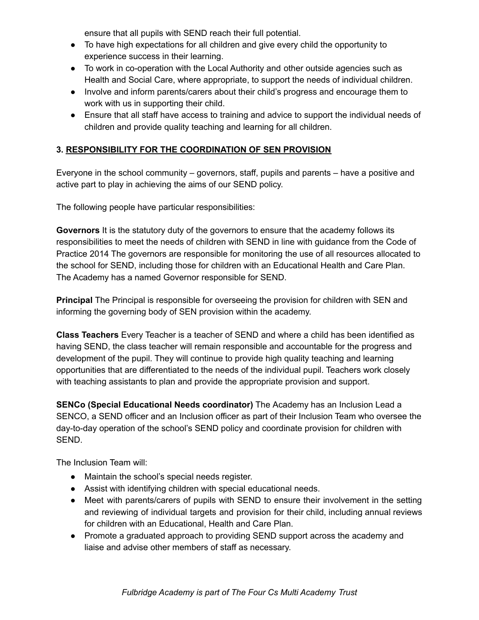ensure that all pupils with SEND reach their full potential.

- To have high expectations for all children and give every child the opportunity to experience success in their learning.
- To work in co-operation with the Local Authority and other outside agencies such as Health and Social Care, where appropriate, to support the needs of individual children.
- Involve and inform parents/carers about their child's progress and encourage them to work with us in supporting their child.
- Ensure that all staff have access to training and advice to support the individual needs of children and provide quality teaching and learning for all children.

# **3. RESPONSIBILITY FOR THE COORDINATION OF SEN PROVISION**

Everyone in the school community – governors, staff, pupils and parents – have a positive and active part to play in achieving the aims of our SEND policy.

The following people have particular responsibilities:

**Governors** It is the statutory duty of the governors to ensure that the academy follows its responsibilities to meet the needs of children with SEND in line with guidance from the Code of Practice 2014 The governors are responsible for monitoring the use of all resources allocated to the school for SEND, including those for children with an Educational Health and Care Plan. The Academy has a named Governor responsible for SEND.

**Principal** The Principal is responsible for overseeing the provision for children with SEN and informing the governing body of SEN provision within the academy.

**Class Teachers** Every Teacher is a teacher of SEND and where a child has been identified as having SEND, the class teacher will remain responsible and accountable for the progress and development of the pupil. They will continue to provide high quality teaching and learning opportunities that are differentiated to the needs of the individual pupil. Teachers work closely with teaching assistants to plan and provide the appropriate provision and support.

**SENCo (Special Educational Needs coordinator)** The Academy has an Inclusion Lead a SENCO, a SEND officer and an Inclusion officer as part of their Inclusion Team who oversee the day-to-day operation of the school's SEND policy and coordinate provision for children with SEND.

The Inclusion Team will:

- Maintain the school's special needs register.
- Assist with identifying children with special educational needs.
- Meet with parents/carers of pupils with SEND to ensure their involvement in the setting and reviewing of individual targets and provision for their child, including annual reviews for children with an Educational, Health and Care Plan.
- Promote a graduated approach to providing SEND support across the academy and liaise and advise other members of staff as necessary.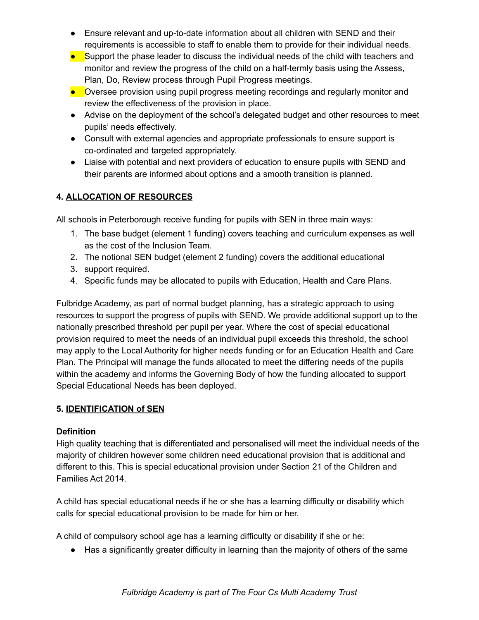- Ensure relevant and up-to-date information about all children with SEND and their requirements is accessible to staff to enable them to provide for their individual needs.
- Support the phase leader to discuss the individual needs of the child with teachers and monitor and review the progress of the child on a half-termly basis using the Assess, Plan, Do, Review process through Pupil Progress meetings.
- Oversee provision using pupil progress meeting recordings and regularly monitor and review the effectiveness of the provision in place.
- Advise on the deployment of the school's delegated budget and other resources to meet pupils' needs effectively.
- Consult with external agencies and appropriate professionals to ensure support is co-ordinated and targeted appropriately.
- Liaise with potential and next providers of education to ensure pupils with SEND and their parents are informed about options and a smooth transition is planned.

# **4. ALLOCATION OF RESOURCES**

All schools in Peterborough receive funding for pupils with SEN in three main ways:

- 1. The base budget (element 1 funding) covers teaching and curriculum expenses as well as the cost of the Inclusion Team.
- 2. The notional SEN budget (element 2 funding) covers the additional educational
- 3. support required.
- 4. Specific funds may be allocated to pupils with Education, Health and Care Plans.

Fulbridge Academy, as part of normal budget planning, has a strategic approach to using resources to support the progress of pupils with SEND. We provide additional support up to the nationally prescribed threshold per pupil per year. Where the cost of special educational provision required to meet the needs of an individual pupil exceeds this threshold, the school may apply to the Local Authority for higher needs funding or for an Education Health and Care Plan. The Principal will manage the funds allocated to meet the differing needs of the pupils within the academy and informs the Governing Body of how the funding allocated to support Special Educational Needs has been deployed.

#### **5. IDENTIFICATION of SEN**

#### **Definition**

High quality teaching that is differentiated and personalised will meet the individual needs of the majority of children however some children need educational provision that is additional and different to this. This is special educational provision under Section 21 of the Children and Families Act 2014.

A child has special educational needs if he or she has a learning difficulty or disability which calls for special educational provision to be made for him or her.

A child of compulsory school age has a learning difficulty or disability if she or he:

● Has a significantly greater difficulty in learning than the majority of others of the same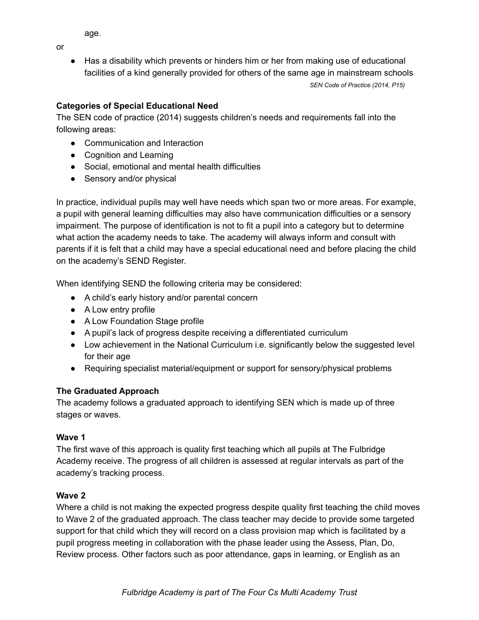age.

or

● Has a disability which prevents or hinders him or her from making use of educational facilities of a kind generally provided for others of the same age in mainstream schools *SEN Code of Practice (2014, P15)*

# **Categories of Special Educational Need**

The SEN code of practice (2014) suggests children's needs and requirements fall into the following areas:

- Communication and Interaction
- Cognition and Learning
- Social, emotional and mental health difficulties
- Sensory and/or physical

In practice, individual pupils may well have needs which span two or more areas. For example, a pupil with general learning difficulties may also have communication difficulties or a sensory impairment. The purpose of identification is not to fit a pupil into a category but to determine what action the academy needs to take. The academy will always inform and consult with parents if it is felt that a child may have a special educational need and before placing the child on the academy's SEND Register.

When identifying SEND the following criteria may be considered:

- A child's early history and/or parental concern
- A Low entry profile
- A Low Foundation Stage profile
- A pupil's lack of progress despite receiving a differentiated curriculum
- Low achievement in the National Curriculum i.e. significantly below the suggested level for their age
- Requiring specialist material/equipment or support for sensory/physical problems

#### **The Graduated Approach**

The academy follows a graduated approach to identifying SEN which is made up of three stages or waves.

#### **Wave 1**

The first wave of this approach is quality first teaching which all pupils at The Fulbridge Academy receive. The progress of all children is assessed at regular intervals as part of the academy's tracking process.

#### **Wave 2**

Where a child is not making the expected progress despite quality first teaching the child moves to Wave 2 of the graduated approach. The class teacher may decide to provide some targeted support for that child which they will record on a class provision map which is facilitated by a pupil progress meeting in collaboration with the phase leader using the Assess, Plan, Do, Review process. Other factors such as poor attendance, gaps in learning, or English as an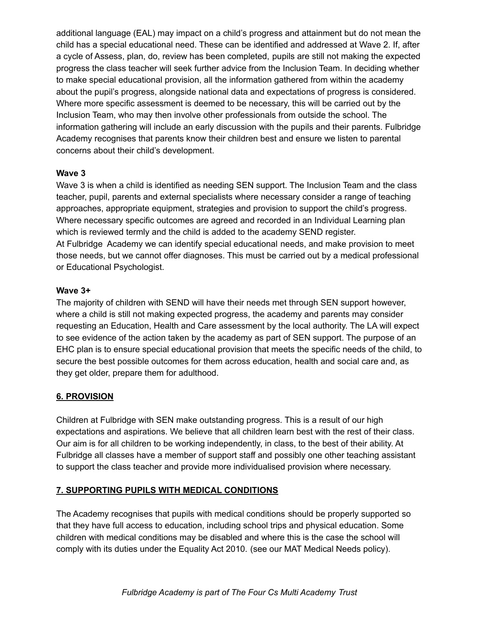additional language (EAL) may impact on a child's progress and attainment but do not mean the child has a special educational need. These can be identified and addressed at Wave 2. If, after a cycle of Assess, plan, do, review has been completed, pupils are still not making the expected progress the class teacher will seek further advice from the Inclusion Team. In deciding whether to make special educational provision, all the information gathered from within the academy about the pupil's progress, alongside national data and expectations of progress is considered. Where more specific assessment is deemed to be necessary, this will be carried out by the Inclusion Team, who may then involve other professionals from outside the school. The information gathering will include an early discussion with the pupils and their parents. Fulbridge Academy recognises that parents know their children best and ensure we listen to parental concerns about their child's development.

#### **Wave 3**

Wave 3 is when a child is identified as needing SEN support. The Inclusion Team and the class teacher, pupil, parents and external specialists where necessary consider a range of teaching approaches, appropriate equipment, strategies and provision to support the child's progress. Where necessary specific outcomes are agreed and recorded in an Individual Learning plan which is reviewed termly and the child is added to the academy SEND register. At Fulbridge Academy we can identify special educational needs, and make provision to meet those needs, but we cannot offer diagnoses. This must be carried out by a medical professional or Educational Psychologist.

#### **Wave 3+**

The majority of children with SEND will have their needs met through SEN support however, where a child is still not making expected progress, the academy and parents may consider requesting an Education, Health and Care assessment by the local authority. The LA will expect to see evidence of the action taken by the academy as part of SEN support. The purpose of an EHC plan is to ensure special educational provision that meets the specific needs of the child, to secure the best possible outcomes for them across education, health and social care and, as they get older, prepare them for adulthood.

# **6. PROVISION**

Children at Fulbridge with SEN make outstanding progress. This is a result of our high expectations and aspirations. We believe that all children learn best with the rest of their class. Our aim is for all children to be working independently, in class, to the best of their ability. At Fulbridge all classes have a member of support staff and possibly one other teaching assistant to support the class teacher and provide more individualised provision where necessary.

#### **7. SUPPORTING PUPILS WITH MEDICAL CONDITIONS**

The Academy recognises that pupils with medical conditions should be properly supported so that they have full access to education, including school trips and physical education. Some children with medical conditions may be disabled and where this is the case the school will comply with its duties under the Equality Act 2010. (see our MAT Medical Needs policy).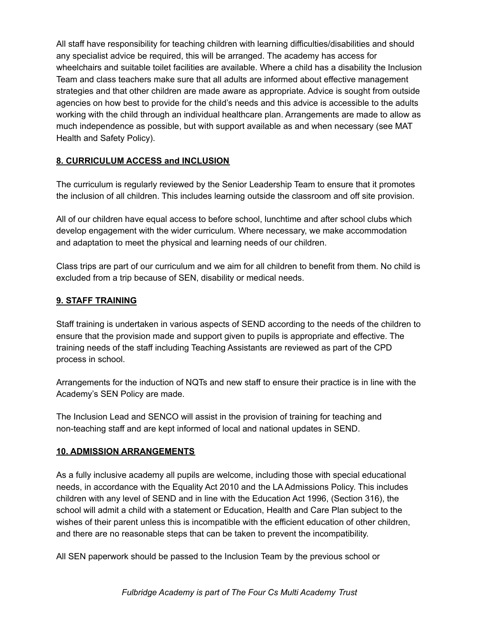All staff have responsibility for teaching children with learning difficulties/disabilities and should any specialist advice be required, this will be arranged. The academy has access for wheelchairs and suitable toilet facilities are available. Where a child has a disability the Inclusion Team and class teachers make sure that all adults are informed about effective management strategies and that other children are made aware as appropriate. Advice is sought from outside agencies on how best to provide for the child's needs and this advice is accessible to the adults working with the child through an individual healthcare plan. Arrangements are made to allow as much independence as possible, but with support available as and when necessary (see MAT Health and Safety Policy).

#### **8. CURRICULUM ACCESS and INCLUSION**

The curriculum is regularly reviewed by the Senior Leadership Team to ensure that it promotes the inclusion of all children. This includes learning outside the classroom and off site provision.

All of our children have equal access to before school, lunchtime and after school clubs which develop engagement with the wider curriculum. Where necessary, we make accommodation and adaptation to meet the physical and learning needs of our children.

Class trips are part of our curriculum and we aim for all children to benefit from them. No child is excluded from a trip because of SEN, disability or medical needs.

#### **9. STAFF TRAINING**

Staff training is undertaken in various aspects of SEND according to the needs of the children to ensure that the provision made and support given to pupils is appropriate and effective. The training needs of the staff including Teaching Assistants are reviewed as part of the CPD process in school.

Arrangements for the induction of NQTs and new staff to ensure their practice is in line with the Academy's SEN Policy are made.

The Inclusion Lead and SENCO will assist in the provision of training for teaching and non-teaching staff and are kept informed of local and national updates in SEND.

#### **10. ADMISSION ARRANGEMENTS**

As a fully inclusive academy all pupils are welcome, including those with special educational needs, in accordance with the Equality Act 2010 and the LA Admissions Policy. This includes children with any level of SEND and in line with the Education Act 1996, (Section 316), the school will admit a child with a statement or Education, Health and Care Plan subject to the wishes of their parent unless this is incompatible with the efficient education of other children, and there are no reasonable steps that can be taken to prevent the incompatibility.

All SEN paperwork should be passed to the Inclusion Team by the previous school or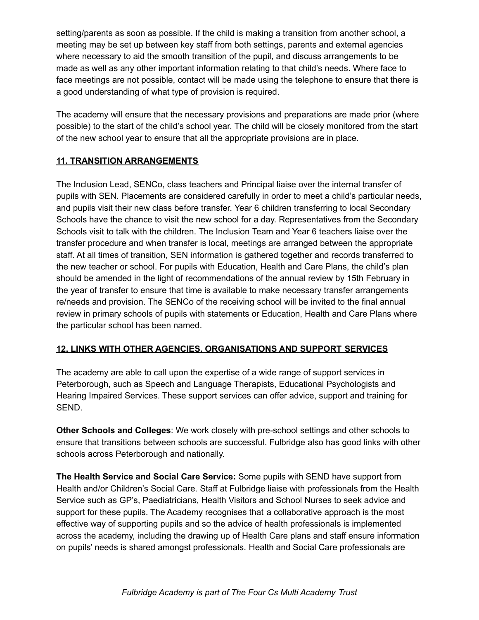setting/parents as soon as possible. If the child is making a transition from another school, a meeting may be set up between key staff from both settings, parents and external agencies where necessary to aid the smooth transition of the pupil, and discuss arrangements to be made as well as any other important information relating to that child's needs. Where face to face meetings are not possible, contact will be made using the telephone to ensure that there is a good understanding of what type of provision is required.

The academy will ensure that the necessary provisions and preparations are made prior (where possible) to the start of the child's school year. The child will be closely monitored from the start of the new school year to ensure that all the appropriate provisions are in place.

# **11. TRANSITION ARRANGEMENTS**

The Inclusion Lead, SENCo, class teachers and Principal liaise over the internal transfer of pupils with SEN. Placements are considered carefully in order to meet a child's particular needs, and pupils visit their new class before transfer. Year 6 children transferring to local Secondary Schools have the chance to visit the new school for a day. Representatives from the Secondary Schools visit to talk with the children. The Inclusion Team and Year 6 teachers liaise over the transfer procedure and when transfer is local, meetings are arranged between the appropriate staff. At all times of transition, SEN information is gathered together and records transferred to the new teacher or school. For pupils with Education, Health and Care Plans, the child's plan should be amended in the light of recommendations of the annual review by 15th February in the year of transfer to ensure that time is available to make necessary transfer arrangements re/needs and provision. The SENCo of the receiving school will be invited to the final annual review in primary schools of pupils with statements or Education, Health and Care Plans where the particular school has been named.

#### **12. LINKS WITH OTHER AGENCIES, ORGANISATIONS AND SUPPORT SERVICES**

The academy are able to call upon the expertise of a wide range of support services in Peterborough, such as Speech and Language Therapists, Educational Psychologists and Hearing Impaired Services. These support services can offer advice, support and training for SEND.

**Other Schools and Colleges**: We work closely with pre-school settings and other schools to ensure that transitions between schools are successful. Fulbridge also has good links with other schools across Peterborough and nationally.

**The Health Service and Social Care Service:** Some pupils with SEND have support from Health and/or Children's Social Care. Staff at Fulbridge liaise with professionals from the Health Service such as GP's, Paediatricians, Health Visitors and School Nurses to seek advice and support for these pupils. The Academy recognises that a collaborative approach is the most effective way of supporting pupils and so the advice of health professionals is implemented across the academy, including the drawing up of Health Care plans and staff ensure information on pupils' needs is shared amongst professionals. Health and Social Care professionals are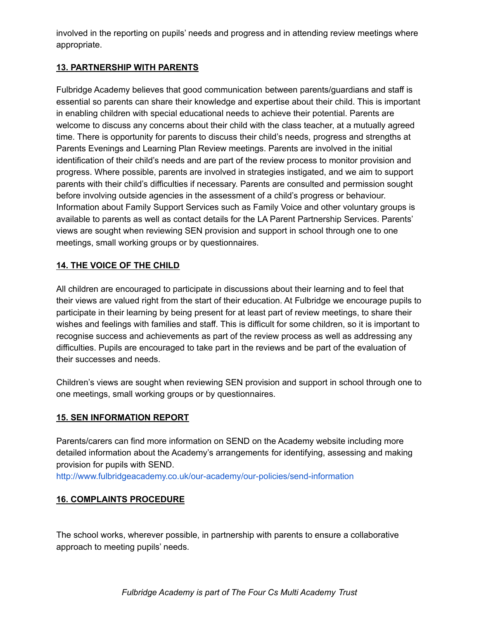involved in the reporting on pupils' needs and progress and in attending review meetings where appropriate.

# **13. PARTNERSHIP WITH PARENTS**

Fulbridge Academy believes that good communication between parents/guardians and staff is essential so parents can share their knowledge and expertise about their child. This is important in enabling children with special educational needs to achieve their potential. Parents are welcome to discuss any concerns about their child with the class teacher, at a mutually agreed time. There is opportunity for parents to discuss their child's needs, progress and strengths at Parents Evenings and Learning Plan Review meetings. Parents are involved in the initial identification of their child's needs and are part of the review process to monitor provision and progress. Where possible, parents are involved in strategies instigated, and we aim to support parents with their child's difficulties if necessary. Parents are consulted and permission sought before involving outside agencies in the assessment of a child's progress or behaviour. Information about Family Support Services such as Family Voice and other voluntary groups is available to parents as well as contact details for the LA Parent Partnership Services. Parents' views are sought when reviewing SEN provision and support in school through one to one meetings, small working groups or by questionnaires.

### **14. THE VOICE OF THE CHILD**

All children are encouraged to participate in discussions about their learning and to feel that their views are valued right from the start of their education. At Fulbridge we encourage pupils to participate in their learning by being present for at least part of review meetings, to share their wishes and feelings with families and staff. This is difficult for some children, so it is important to recognise success and achievements as part of the review process as well as addressing any difficulties. Pupils are encouraged to take part in the reviews and be part of the evaluation of their successes and needs.

Children's views are sought when reviewing SEN provision and support in school through one to one meetings, small working groups or by questionnaires.

#### **15. SEN INFORMATION REPORT**

Parents/carers can find more information on SEND on the Academy website including more detailed information about the Academy's arrangements for identifying, assessing and making provision for pupils with SEND.

http://www.fulbridgeacademy.co.uk/our-academy/our-policies/send-information

# **16. COMPLAINTS PROCEDURE**

The school works, wherever possible, in partnership with parents to ensure a collaborative approach to meeting pupils' needs.